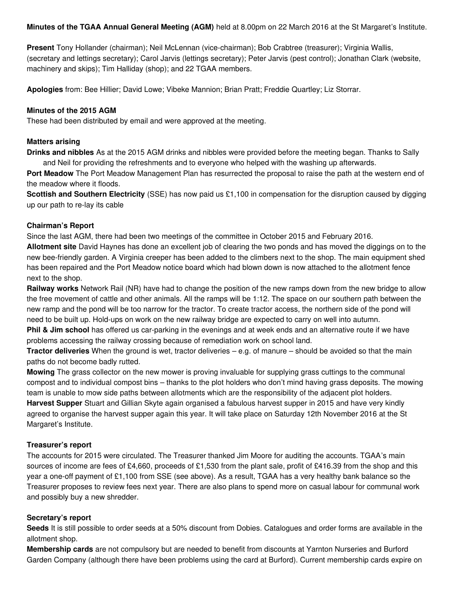Minutes of the TGAA Annual General Meeting (AGM) held at 8.00pm on 22 March 2016 at the St Margaret's Institute.

Present Tony Hollander (chairman); Neil McLennan (vice-chairman); Bob Crabtree (treasurer); Virginia Wallis, (secretary and lettings secretary); Carol Jarvis (lettings secretary); Peter Jarvis (pest control); Jonathan Clark (website, machinery and skips); Tim Halliday (shop); and 22 TGAA members.

Apologies from: Bee Hillier; David Lowe; Vibeke Mannion; Brian Pratt; Freddie Quartley; Liz Storrar.

# Minutes of the 2015 AGM

These had been distributed by email and were approved at the meeting.

## Matters arising

Drinks and nibbles As at the 2015 AGM drinks and nibbles were provided before the meeting began. Thanks to Sally and Neil for providing the refreshments and to everyone who helped with the washing up afterwards.

Port Meadow The Port Meadow Management Plan has resurrected the proposal to raise the path at the western end of the meadow where it floods.

Scottish and Southern Electricity (SSE) has now paid us £1,100 in compensation for the disruption caused by digging up our path to re-lay its cable

# Chairman's Report

Since the last AGM, there had been two meetings of the committee in October 2015 and February 2016. Allotment site David Haynes has done an excellent job of clearing the two ponds and has moved the diggings on to the new bee-friendly garden. A Virginia creeper has been added to the climbers next to the shop. The main equipment shed has been repaired and the Port Meadow notice board which had blown down is now attached to the allotment fence next to the shop.

Railway works Network Rail (NR) have had to change the position of the new ramps down from the new bridge to allow the free movement of cattle and other animals. All the ramps will be 1:12. The space on our southern path between the new ramp and the pond will be too narrow for the tractor. To create tractor access, the northern side of the pond will need to be built up. Hold-ups on work on the new railway bridge are expected to carry on well into autumn.

**Phil & Jim school** has offered us car-parking in the evenings and at week ends and an alternative route if we have problems accessing the railway crossing because of remediation work on school land.

**Tractor deliveries** When the ground is wet, tractor deliveries  $-$  e.g. of manure  $-$  should be avoided so that the main paths do not become badly rutted.

Mowing The grass collector on the new mower is proving invaluable for supplying grass cuttings to the communal compost and to individual compost bins – thanks to the plot holders who don't mind having grass deposits. The mowing team is unable to mow side paths between allotments which are the responsibility of the adjacent plot holders. Harvest Supper Stuart and Gillian Skyte again organised a fabulous harvest supper in 2015 and have very kindly agreed to organise the harvest supper again this year. It will take place on Saturday 12th November 2016 at the St Margaret's Institute.

## Treasurer's report

The accounts for 2015 were circulated. The Treasurer thanked Jim Moore for auditing the accounts. TGAA's main sources of income are fees of £4,660, proceeds of £1,530 from the plant sale, profit of £416.39 from the shop and this year a one-off payment of £1,100 from SSE (see above). As a result, TGAA has a very healthy bank balance so the Treasurer proposes to review fees next year. There are also plans to spend more on casual labour for communal work and possibly buy a new shredder.

## Secretary's report

Seeds It is still possible to order seeds at a 50% discount from Dobies. Catalogues and order forms are available in the allotment shop.

Membership cards are not compulsory but are needed to benefit from discounts at Yarnton Nurseries and Burford Garden Company (although there have been problems using the card at Burford). Current membership cards expire on